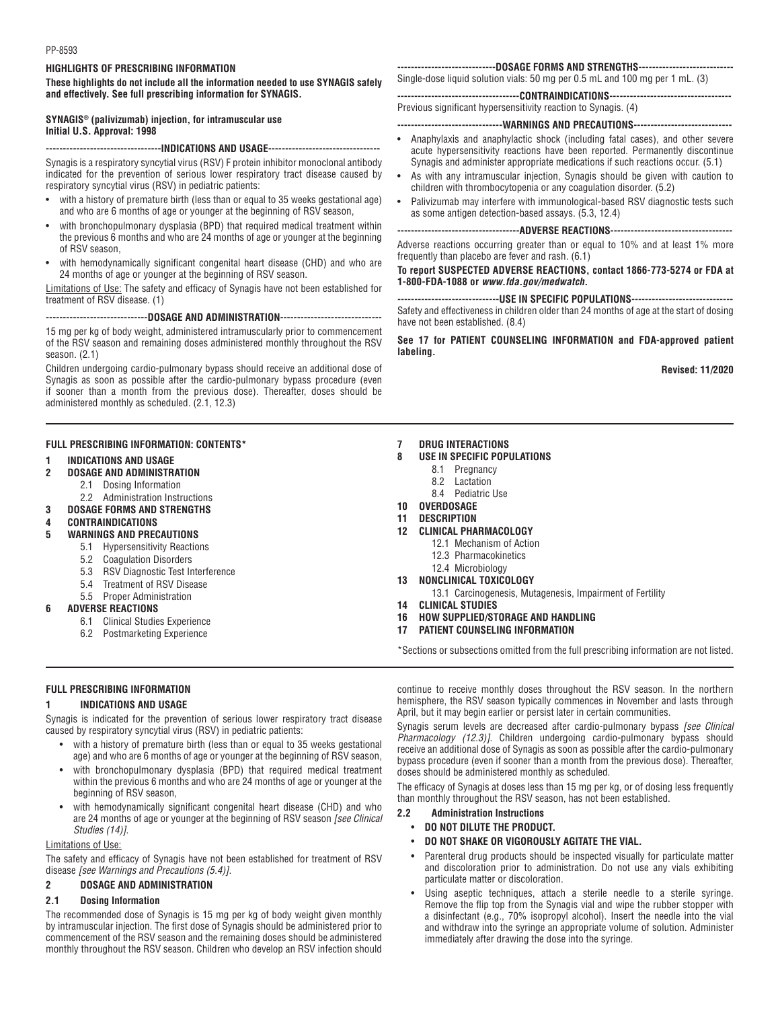#### **HIGHLIGHTS OF PRESCRIBING INFORMATION**

**These highlights do not include all the information needed to use SYNAGIS safely and effectively. See full prescribing information for SYNAGIS.**

#### **SYNAGIS® (palivizumab) injection, for intramuscular use Initial U.S. Approval: 1998**

#### **----------------------------------INDICATIONS AND USAGE---------------------------------**

Synagis is a respiratory syncytial virus (RSV) F protein inhibitor monoclonal antibody indicated for the prevention of serious lower respiratory tract disease caused by respiratory syncytial virus (RSV) in pediatric patients:

- with a history of premature birth (less than or equal to 35 weeks gestational age) and who are 6 months of age or younger at the beginning of RSV season,
- with bronchopulmonary dysplasia (BPD) that required medical treatment within the previous 6 months and who are 24 months of age or younger at the beginning of RSV season,
- with hemodynamically significant congenital heart disease (CHD) and who are 24 months of age or younger at the beginning of RSV season.

Limitations of Use: The safety and efficacy of Synagis have not been established for treatment of RSV disease. (1)

**------------------------------DOSAGE AND ADMINISTRATION------------------------------**

15 mg per kg of body weight, administered intramuscularly prior to commencement of the RSV season and remaining doses administered monthly throughout the RSV season. (2.1)

Children undergoing cardio-pulmonary bypass should receive an additional dose of Synagis as soon as possible after the cardio-pulmonary bypass procedure (even if sooner than a month from the previous dose). Thereafter, doses should be administered monthly as scheduled. (2.1, 12.3)

#### **FULL PRESCRIBING INFORMATION: CONTENTS\***

- **1 INDICATIONS AND USAGE**
- **2 DOSAGE AND ADMINISTRATION**
	- 2.1 Dosing Information
		- 2.2 Administration Instructions
- **3 DOSAGE FORMS AND STRENGTHS**
- **4 CONTRAINDICATIONS**
- **5 WARNINGS AND PRECAUTIONS**
	- 5.1 Hypersensitivity Reactions
	- 5.2 Coagulation Disorders
	- 5.3 RSV Diagnostic Test Interference
	- 5.4 Treatment of RSV Disease
	- 5.5 Proper Administration

#### **6 ADVERSE REACTIONS**

- 6.1 Clinical Studies Experience
- 6.2 Postmarketing Experience

#### **-----------------------------DOSAGE FORMS AND STRENGTHS----------------------------**

Single-dose liquid solution vials: 50 mg per 0.5 mL and 100 mg per 1 mL. (3)

**------------------------------------CONTRAINDICATIONS------------------------------------**  Previous significant hypersensitivity reaction to Synagis. (4)

#### **-------------------------------WARNINGS AND PRECAUTIONS-----------------------------**

- Anaphylaxis and anaphylactic shock (including fatal cases), and other severe acute hypersensitivity reactions have been reported. Permanently discontinue Synagis and administer appropriate medications if such reactions occur. (5.1)
- As with any intramuscular injection, Synagis should be given with caution to children with thrombocytopenia or any coagulation disorder. (5.2)
- Palivizumab may interfere with immunological-based RSV diagnostic tests such as some antigen detection-based assays. (5.3, 12.4)

**------------------------------------ADVERSE REACTIONS------------------------------------** 

Adverse reactions occurring greater than or equal to 10% and at least 1% more frequently than placebo are fever and rash. (6.1)

**To report SUSPECTED ADVERSE REACTIONS, contact 1866-773-5274 or FDA at 1-800-FDA-1088 or** *www.fda.gov/medwatch***.**

**------------------------------USE IN SPECIFIC POPULATIONS------------------------------**  Safety and effectiveness in children older than 24 months of age at the start of dosing have not been established. (8.4)

**See 17 for PATIENT COUNSELING INFORMATION and FDA-approved patient labeling.**

**Revised: 11/2020**

#### **7 DRUG INTERACTIONS**

- **8 USE IN SPECIFIC POPULATIONS**
	- 8.1 Pregnancy
	- 8.2 Lactation
	- 8.4 Pediatric Use
- **10 OVERDOSAGE**
- **11 DESCRIPTION**
- **12 CLINICAL PHARMACOLOGY**
	- 12.1 Mechanism of Action
	- 12.3 Pharmacokinetics
	- 12.4 Microbiology
- **13 NONCLINICAL TOXICOLOGY**
- 13.1 Carcinogenesis, Mutagenesis, Impairment of Fertility
- **14 CLINICAL STUDIES**
- **16 HOW SUPPLIED/STORAGE AND HANDLING**
- **17 PATIENT COUNSELING INFORMATION**

\*Sections or subsections omitted from the full prescribing information are not listed.

#### **FULL PRESCRIBING INFORMATION**

#### **1 INDICATIONS AND USAGE**

Synagis is indicated for the prevention of serious lower respiratory tract disease caused by respiratory syncytial virus (RSV) in pediatric patients:

- with a history of premature birth (less than or equal to 35 weeks gestational age) and who are 6 months of age or younger at the beginning of RSV season,
- with bronchopulmonary dysplasia (BPD) that required medical treatment within the previous 6 months and who are 24 months of age or younger at the beginning of RSV season,
- with hemodynamically significant congenital heart disease (CHD) and who are 24 months of age or younger at the beginning of RSV season *[see Clinical Studies (14)]*.

#### Limitations of Use:

The safety and efficacy of Synagis have not been established for treatment of RSV disease *[see Warnings and Precautions (5.4)]*.

#### **2 DOSAGE AND ADMINISTRATION**

#### **2.1 Dosing Information**

The recommended dose of Synagis is 15 mg per kg of body weight given monthly by intramuscular injection. The first dose of Synagis should be administered prior to commencement of the RSV season and the remaining doses should be administered monthly throughout the RSV season. Children who develop an RSV infection should continue to receive monthly doses throughout the RSV season. In the northern hemisphere, the RSV season typically commences in November and lasts through April, but it may begin earlier or persist later in certain communities.

Synagis serum levels are decreased after cardio-pulmonary bypass *[see Clinical Pharmacology (12.3)]*. Children undergoing cardio-pulmonary bypass should receive an additional dose of Synagis as soon as possible after the cardio-pulmonary bypass procedure (even if sooner than a month from the previous dose). Thereafter, doses should be administered monthly as scheduled.

The efficacy of Synagis at doses less than 15 mg per kg, or of dosing less frequently than monthly throughout the RSV season, has not been established.

#### **2.2 Administration Instructions**

- **DO NOT DILUTE THE PRODUCT.**
- **DO NOT SHAKE OR VIGOROUSLY AGITATE THE VIAL.**
- Parenteral drug products should be inspected visually for particulate matter and discoloration prior to administration. Do not use any vials exhibiting particulate matter or discoloration.
- Using aseptic techniques, attach a sterile needle to a sterile syringe. Remove the flip top from the Synagis vial and wipe the rubber stopper with a disinfectant (e.g., 70% isopropyl alcohol). Insert the needle into the vial and withdraw into the syringe an appropriate volume of solution. Administer immediately after drawing the dose into the syringe.

- 
-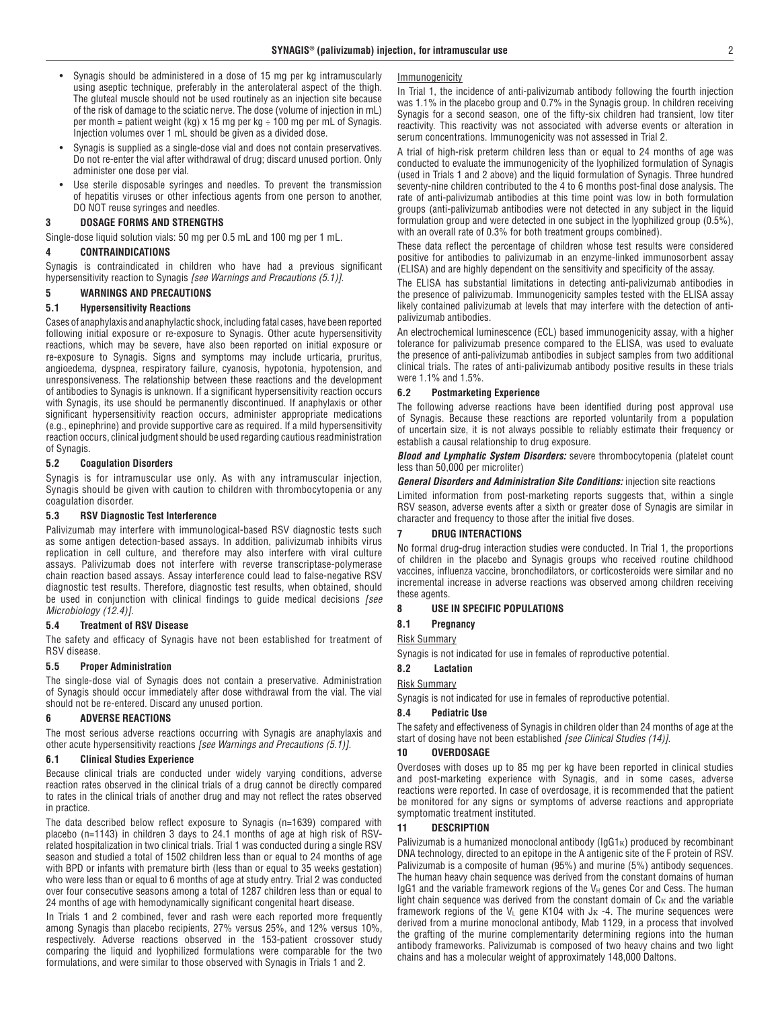- • Synagis should be administered in a dose of 15 mg per kg intramuscularly using aseptic technique, preferably in the anterolateral aspect of the thigh. The gluteal muscle should not be used routinely as an injection site because of the risk of damage to the sciatic nerve. The dose (volume of injection in mL) per month = patient weight (kg)  $\times$  15 mg per kg  $\div$  100 mg per mL of Synagis. Injection volumes over 1 mL should be given as a divided dose.
- Synagis is supplied as a single-dose vial and does not contain preservatives. Do not re-enter the vial after withdrawal of drug; discard unused portion. Only administer one dose per vial.
- Use sterile disposable syringes and needles. To prevent the transmission of hepatitis viruses or other infectious agents from one person to another, DO NOT reuse syringes and needles.

#### **3 DOSAGE FORMS AND STRENGTHS**

Single-dose liquid solution vials: 50 mg per 0.5 mL and 100 mg per 1 mL.

#### **4 CONTRAINDICATIONS**

Synagis is contraindicated in children who have had a previous significant hypersensitivity reaction to Synagis *[see Warnings and Precautions (5.1)]*.

#### **5 WARNINGS AND PRECAUTIONS**

#### **5.1 Hypersensitivity Reactions**

Cases of anaphylaxis and anaphylactic shock, including fatal cases, have been reported following initial exposure or re-exposure to Synagis. Other acute hypersensitivity reactions, which may be severe, have also been reported on initial exposure or re-exposure to Synagis. Signs and symptoms may include urticaria, pruritus, angioedema, dyspnea, respiratory failure, cyanosis, hypotonia, hypotension, and unresponsiveness. The relationship between these reactions and the development of antibodies to Synagis is unknown. If a significant hypersensitivity reaction occurs with Synagis, its use should be permanently discontinued. If anaphylaxis or other significant hypersensitivity reaction occurs, administer appropriate medications (e.g., epinephrine) and provide supportive care as required. If a mild hypersensitivity reaction occurs, clinical judgment should be used regarding cautious readministration of Synagis.

#### **5.2 Coagulation Disorders**

Synagis is for intramuscular use only. As with any intramuscular injection, Synagis should be given with caution to children with thrombocytopenia or any coagulation disorder.

#### **5.3 RSV Diagnostic Test Interference**

Palivizumab may interfere with immunological-based RSV diagnostic tests such as some antigen detection-based assays. In addition, palivizumab inhibits virus replication in cell culture, and therefore may also interfere with viral culture assays. Palivizumab does not interfere with reverse transcriptase-polymerase chain reaction based assays. Assay interference could lead to false-negative RSV diagnostic test results. Therefore, diagnostic test results, when obtained, should be used in conjunction with clinical findings to guide medical decisions *[see Microbiology (12.4)]*.

#### **5.4 Treatment of RSV Disease**

The safety and efficacy of Synagis have not been established for treatment of RSV disease.

#### **5.5 Proper Administration**

The single-dose vial of Synagis does not contain a preservative. Administration of Synagis should occur immediately after dose withdrawal from the vial. The vial should not be re-entered. Discard any unused portion.

#### **6 ADVERSE REACTIONS**

The most serious adverse reactions occurring with Synagis are anaphylaxis and other acute hypersensitivity reactions *[see Warnings and Precautions (5.1)]*.

#### **6.1 Clinical Studies Experience**

Because clinical trials are conducted under widely varying conditions, adverse reaction rates observed in the clinical trials of a drug cannot be directly compared to rates in the clinical trials of another drug and may not reflect the rates observed in practice.

The data described below reflect exposure to Synagis (n=1639) compared with placebo (n=1143) in children 3 days to 24.1 months of age at high risk of RSVrelated hospitalization in two clinical trials. Trial 1 was conducted during a single RSV season and studied a total of 1502 children less than or equal to 24 months of age with BPD or infants with premature birth (less than or equal to 35 weeks gestation) who were less than or equal to 6 months of age at study entry. Trial 2 was conducted over four consecutive seasons among a total of 1287 children less than or equal to 24 months of age with hemodynamically significant congenital heart disease.

In Trials 1 and 2 combined, fever and rash were each reported more frequently among Synagis than placebo recipients, 27% versus 25%, and 12% versus 10%, respectively. Adverse reactions observed in the 153-patient crossover study comparing the liquid and lyophilized formulations were comparable for the two formulations, and were similar to those observed with Synagis in Trials 1 and 2.

#### Immunogenicity

In Trial 1, the incidence of anti-palivizumab antibody following the fourth injection was 1.1% in the placebo group and 0.7% in the Synagis group. In children receiving Synagis for a second season, one of the fifty-six children had transient, low titer reactivity. This reactivity was not associated with adverse events or alteration in serum concentrations. Immunogenicity was not assessed in Trial 2.

A trial of high-risk preterm children less than or equal to 24 months of age was conducted to evaluate the immunogenicity of the lyophilized formulation of Synagis (used in Trials 1 and 2 above) and the liquid formulation of Synagis. Three hundred seventy-nine children contributed to the 4 to 6 months post-final dose analysis. The rate of anti-palivizumab antibodies at this time point was low in both formulation groups (anti-palivizumab antibodies were not detected in any subject in the liquid formulation group and were detected in one subject in the lyophilized group (0.5%), with an overall rate of 0.3% for both treatment groups combined).

These data reflect the percentage of children whose test results were considered positive for antibodies to palivizumab in an enzyme-linked immunosorbent assay (ELISA) and are highly dependent on the sensitivity and specificity of the assay.

The ELISA has substantial limitations in detecting anti-palivizumab antibodies in the presence of palivizumab. Immunogenicity samples tested with the ELISA assay likely contained palivizumab at levels that may interfere with the detection of antipalivizumab antibodies.

An electrochemical luminescence (ECL) based immunogenicity assay, with a higher tolerance for palivizumab presence compared to the ELISA, was used to evaluate the presence of anti-palivizumab antibodies in subject samples from two additional clinical trials. The rates of anti-palivizumab antibody positive results in these trials were 1.1% and 1.5%.

#### **6.2 Postmarketing Experience**

The following adverse reactions have been identified during post approval use of Synagis. Because these reactions are reported voluntarily from a population of uncertain size, it is not always possible to reliably estimate their frequency or establish a causal relationship to drug exposure.

*Blood and Lymphatic System Disorders:* severe thrombocytopenia (platelet count less than 50,000 per microliter)

*General Disorders and Administration Site Conditions:* injection site reactions

Limited information from post-marketing reports suggests that, within a single RSV season, adverse events after a sixth or greater dose of Synagis are similar in character and frequency to those after the initial five doses.

#### **7 DRUG INTERACTIONS**

No formal drug-drug interaction studies were conducted. In Trial 1, the proportions of children in the placebo and Synagis groups who received routine childhood vaccines, influenza vaccine, bronchodilators, or corticosteroids were similar and no incremental increase in adverse reactions was observed among children receiving these agents.

#### **8 USE IN SPECIFIC POPULATIONS**

#### **8.1 Pregnancy**

Risk Summary

Synagis is not indicated for use in females of reproductive potential.

#### **8.2 Lactation**

#### Risk Summary

Synagis is not indicated for use in females of reproductive potential.

#### **8.4 Pediatric Use**

The safety and effectiveness of Synagis in children older than 24 months of age at the start of dosing have not been established *[see Clinical Studies (14)]*.

#### **10 OVERDOSAGE**

Overdoses with doses up to 85 mg per kg have been reported in clinical studies and post-marketing experience with Synagis, and in some cases, adverse reactions were reported. In case of overdosage, it is recommended that the patient be monitored for any signs or symptoms of adverse reactions and appropriate symptomatic treatment instituted.

#### **11 DESCRIPTION**

Palivizumab is a humanized monoclonal antibody ( $\lg G1_K$ ) produced by recombinant DNA technology, directed to an epitope in the A antigenic site of the F protein of RSV. Palivizumab is a composite of human (95%) and murine (5%) antibody sequences. The human heavy chain sequence was derived from the constant domains of human IgG1 and the variable framework regions of the  $V_H$  genes Cor and Cess. The human light chain sequence was derived from the constant domain of  $C_K$  and the variable framework regions of the  $V_L$  gene K104 with J<sub>K</sub> -4. The murine sequences were derived from a murine monoclonal antibody, Mab 1129, in a process that involved the grafting of the murine complementarity determining regions into the human antibody frameworks. Palivizumab is composed of two heavy chains and two light chains and has a molecular weight of approximately 148,000 Daltons.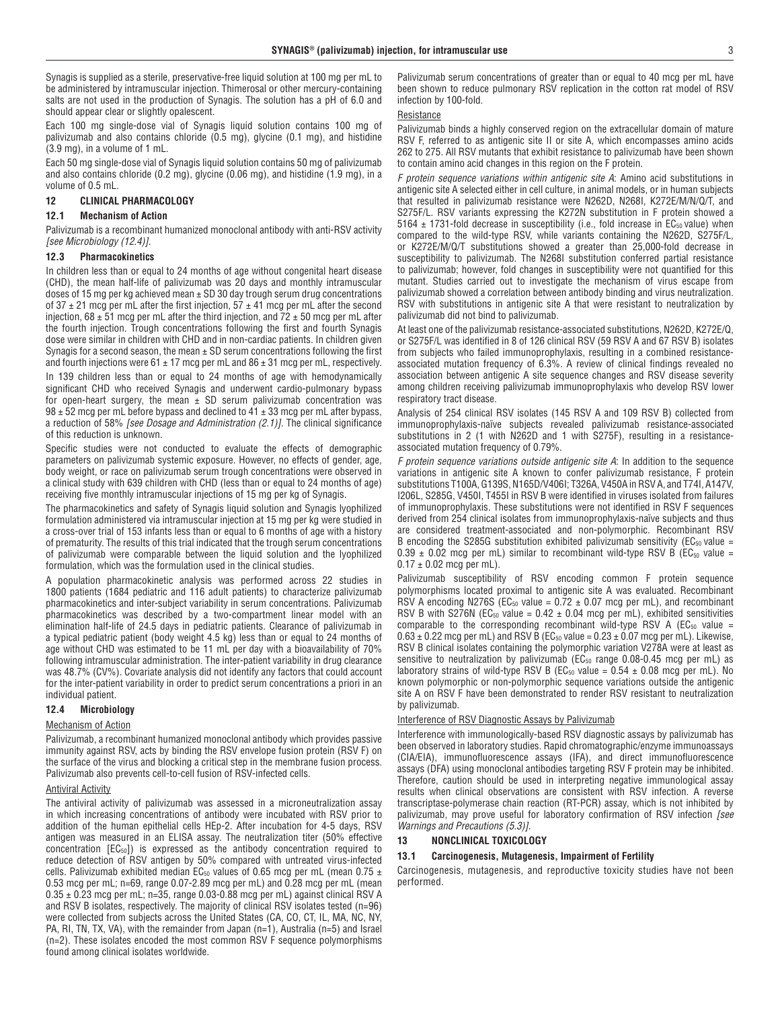Synagis is supplied as a sterile, preservative-free liquid solution at 100 mg per mL to be administered by intramuscular injection. Thimerosal or other mercury-containing salts are not used in the production of Synagis. The solution has a pH of 6.0 and should appear clear or slightly opalescent.

Each 100 mg single-dose vial of Synagis liquid solution contains 100 mg of palivizumab and also contains chloride (0.5 mg), glycine (0.1 mg), and histidine (3.9 mg), in a volume of 1 mL.

Each 50 mg single-dose vial of Synagis liquid solution contains 50 mg of palivizumab and also contains chloride (0.2 mg), glycine (0.06 mg), and histidine (1.9 mg), in a volume of 0.5 mL.

#### **12 CLINICAL PHARMACOLOGY**

#### **12.1 Mechanism of Action**

Palivizumab is a recombinant humanized monoclonal antibody with anti-RSV activity *[see Microbiology (12.4)]*.

#### **12.3 Pharmacokinetics**

In children less than or equal to 24 months of age without congenital heart disease (CHD), the mean half-life of palivizumab was 20 days and monthly intramuscular doses of 15 mg per kg achieved mean  $\pm$  SD 30 day trough serum drug concentrations of  $37 \pm 21$  mcg per mL after the first injection,  $57 \pm 41$  mcg per mL after the second injection,  $68 \pm 51$  mcg per mL after the third injection, and  $72 \pm 50$  mcg per mL after the fourth injection. Trough concentrations following the first and fourth Synagis dose were similar in children with CHD and in non-cardiac patients. In children given Synagis for a second season, the mean  $\pm$  SD serum concentrations following the first and fourth injections were  $61 \pm 17$  mcg per mL and  $86 \pm 31$  mcg per mL, respectively. In 139 children less than or equal to 24 months of age with hemodynamically significant CHD who received Synagis and underwent cardio-pulmonary bypass for open-heart surgery, the mean  $\pm$  SD serum palivizumab concentration was  $98 \pm 52$  mcg per mL before bypass and declined to  $41 \pm 33$  mcg per mL after bypass, a reduction of 58% *[see Dosage and Administration (2.1)]*. The clinical significance of this reduction is unknown.

Specific studies were not conducted to evaluate the effects of demographic parameters on palivizumab systemic exposure. However, no effects of gender, age, body weight, or race on palivizumab serum trough concentrations were observed in a clinical study with 639 children with CHD (less than or equal to 24 months of age) receiving five monthly intramuscular injections of 15 mg per kg of Synagis.

The pharmacokinetics and safety of Synagis liquid solution and Synagis lyophilized formulation administered via intramuscular injection at 15 mg per kg were studied in a cross-over trial of 153 infants less than or equal to 6 months of age with a history of prematurity. The results of this trial indicated that the trough serum concentrations of palivizumab were comparable between the liquid solution and the lyophilized formulation, which was the formulation used in the clinical studies.

A population pharmacokinetic analysis was performed across 22 studies in 1800 patients (1684 pediatric and 116 adult patients) to characterize palivizumab pharmacokinetics and inter-subject variability in serum concentrations. Palivizumab pharmacokinetics was described by a two-compartment linear model with an elimination half-life of 24.5 days in pediatric patients. Clearance of palivizumab in a typical pediatric patient (body weight 4.5 kg) less than or equal to 24 months of age without CHD was estimated to be 11 mL per day with a bioavailability of 70% following intramuscular administration. The inter-patient variability in drug clearance was 48.7% (CV%). Covariate analysis did not identify any factors that could account for the inter-patient variability in order to predict serum concentrations a priori in an individual patient.

#### **12.4 Microbiology**

#### Mechanism of Action

Palivizumab, a recombinant humanized monoclonal antibody which provides passive immunity against RSV, acts by binding the RSV envelope fusion protein (RSV F) on the surface of the virus and blocking a critical step in the membrane fusion process. Palivizumab also prevents cell-to-cell fusion of RSV-infected cells.

#### Antiviral Activity

The antiviral activity of palivizumab was assessed in a microneutralization assay in which increasing concentrations of antibody were incubated with RSV prior to addition of the human epithelial cells HEp-2. After incubation for 4-5 days, RSV antigen was measured in an ELISA assay. The neutralization titer (50% effective concentration [EC50]) is expressed as the antibody concentration required to reduce detection of RSV antigen by 50% compared with untreated virus-infected cells. Palivizumab exhibited median EC<sub>50</sub> values of 0.65 mcg per mL (mean 0.75  $\pm$ 0.53 mcg per mL; n=69, range 0.07-2.89 mcg per mL) and 0.28 mcg per mL (mean  $0.35 \pm 0.23$  mcg per mL; n=35, range 0.03-0.88 mcg per mL) against clinical RSV A and RSV B isolates, respectively. The majority of clinical RSV isolates tested (n=96) were collected from subjects across the United States (CA, CO, CT, IL, MA, NC, NY, PA, RI, TN, TX, VA), with the remainder from Japan (n=1), Australia (n=5) and Israel (n=2). These isolates encoded the most common RSV F sequence polymorphisms found among clinical isolates worldwide.

Palivizumab serum concentrations of greater than or equal to 40 mcg per mL have been shown to reduce pulmonary RSV replication in the cotton rat model of RSV infection by 100-fold.

#### Resistance

Palivizumab binds a highly conserved region on the extracellular domain of mature RSV F, referred to as antigenic site II or site A, which encompasses amino acids 262 to 275. All RSV mutants that exhibit resistance to palivizumab have been shown to contain amino acid changes in this region on the F protein.

*F protein sequence variations within antigenic site A*: Amino acid substitutions in antigenic site A selected either in cell culture, in animal models, or in human subjects that resulted in palivizumab resistance were N262D, N268I, K272E/M/N/Q/T, and S275F/L. RSV variants expressing the K272N substitution in F protein showed a  $5164 \pm 1731$ -fold decrease in susceptibility (i.e., fold increase in EC<sub>50</sub> value) when compared to the wild-type RSV, while variants containing the N262D, S275F/L, or K272E/M/Q/T substitutions showed a greater than 25,000-fold decrease in susceptibility to palivizumab. The N268I substitution conferred partial resistance to palivizumab; however, fold changes in susceptibility were not quantified for this mutant. Studies carried out to investigate the mechanism of virus escape from palivizumab showed a correlation between antibody binding and virus neutralization. RSV with substitutions in antigenic site A that were resistant to neutralization by palivizumab did not bind to palivizumab.

At least one of the palivizumab resistance-associated substitutions, N262D, K272E/Q, or S275F/L was identified in 8 of 126 clinical RSV (59 RSV A and 67 RSV B) isolates from subjects who failed immunoprophylaxis, resulting in a combined resistanceassociated mutation frequency of 6.3%. A review of clinical findings revealed no association between antigenic A site sequence changes and RSV disease severity among children receiving palivizumab immunoprophylaxis who develop RSV lower respiratory tract disease.

Analysis of 254 clinical RSV isolates (145 RSV A and 109 RSV B) collected from immunoprophylaxis-naïve subjects revealed palivizumab resistance-associated substitutions in 2 (1 with N262D and 1 with S275F), resulting in a resistanceassociated mutation frequency of 0.79%.

*F protein sequence variations outside antigenic site A*: In addition to the sequence variations in antigenic site A known to confer palivizumab resistance, F protein substitutions T100A, G139S, N165D/V406I; T326A, V450A in RSV A, and T74I, A147V, I206L, S285G, V450I, T455I in RSV B were identified in viruses isolated from failures of immunoprophylaxis. These substitutions were not identified in RSV F sequences derived from 254 clinical isolates from immunoprophylaxis-naïve subjects and thus are considered treatment-associated and non-polymorphic. Recombinant RSV B encoding the S285G substitution exhibited palivizumab sensitivity ( $EC_{50}$  value =  $0.39 \pm 0.02$  mcg per mL) similar to recombinant wild-type RSV B (EC<sub>50</sub> value =  $0.17 \pm 0.02$  mcg per mL).

Palivizumab susceptibility of RSV encoding common F protein sequence polymorphisms located proximal to antigenic site A was evaluated. Recombinant RSV A encoding N276S (EC<sub>50</sub> value =  $0.72 \pm 0.07$  mcg per mL), and recombinant RSV B with S276N (EC<sub>50</sub> value =  $0.42 \pm 0.04$  mcg per mL), exhibited sensitivities comparable to the corresponding recombinant wild-type RSV A ( $EC_{50}$  value =  $0.63 \pm 0.22$  mcg per mL) and RSV B (EC<sub>50</sub> value =  $0.23 \pm 0.07$  mcg per mL). Likewise, RSV B clinical isolates containing the polymorphic variation V278A were at least as sensitive to neutralization by palivizumab ( $EC_{50}$  range 0.08-0.45 mcg per mL) as laboratory strains of wild-type RSV B ( $EC_{50}$  value = 0.54  $\pm$  0.08 mcg per mL). No known polymorphic or non-polymorphic sequence variations outside the antigenic site A on RSV F have been demonstrated to render RSV resistant to neutralization by palivizumab.

#### Interference of RSV Diagnostic Assays by Palivizumab

Interference with immunologically-based RSV diagnostic assays by palivizumab has been observed in laboratory studies. Rapid chromatographic/enzyme immunoassays (CIA/EIA), immunofluorescence assays (IFA), and direct immunofluorescence assays (DFA) using monoclonal antibodies targeting RSV F protein may be inhibited. Therefore, caution should be used in interpreting negative immunological assay results when clinical observations are consistent with RSV infection. A reverse transcriptase-polymerase chain reaction (RT-PCR) assay, which is not inhibited by palivizumab, may prove useful for laboratory confirmation of RSV infection *[see Warnings and Precautions (5.3)]*.

# **13 NONCLINICAL TOXICOLOGY**

#### **13.1 Carcinogenesis, Mutagenesis, Impairment of Fertility**

Carcinogenesis, mutagenesis, and reproductive toxicity studies have not been performed.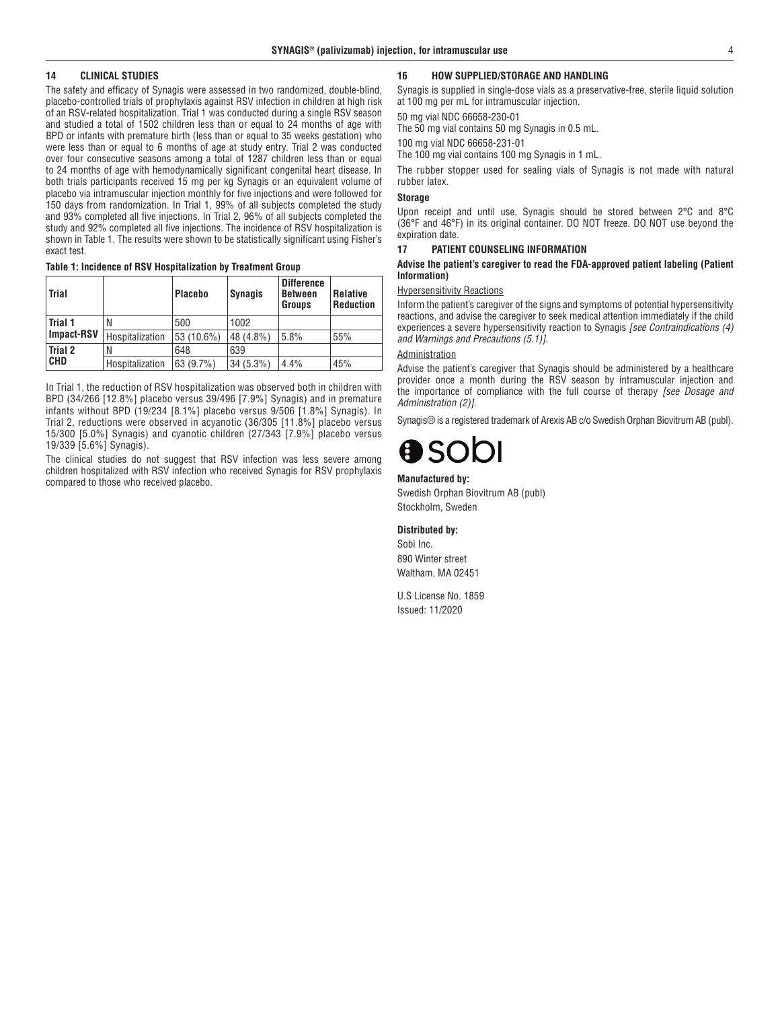#### **14 CLINICAL STUDIES**

The safety and efficacy of Synagis were assessed in two randomized, double-blind, placebo-controlled trials of prophylaxis against RSV infection in children at high risk of an RSV-related hospitalization. Trial 1 was conducted during a single RSV season and studied a total of 1502 children less than or equal to 24 months of age with BPD or infants with premature birth (less than or equal to 35 weeks gestation) who were less than or equal to 6 months of age at study entry. Trial 2 was conducted over four consecutive seasons among a total of 1287 children less than or equal to 24 months of age with hemodynamically significant congenital heart disease. In both trials participants received 15 mg per kg Synagis or an equivalent volume of placebo via intramuscular injection monthly for five injections and were followed for 150 days from randomization. In Trial 1, 99% of all subjects completed the study and 93% completed all five injections. In Trial 2, 96% of all subjects completed the study and 92% completed all five injections. The incidence of RSV hospitalization is shown in Table 1. The results were shown to be statistically significant using Fisher's exact test.

**Table 1: Incidence of RSV Hospitalization by Treatment Group**

| Trial                        |                 | <b>Placebo</b> | <b>Synagis</b> | <b>Difference</b><br><b>Between</b><br>Groups | <b>Relative</b><br><b>Reduction</b> |
|------------------------------|-----------------|----------------|----------------|-----------------------------------------------|-------------------------------------|
| Trial 1<br><b>Impact-RSV</b> | N               | 500            | 1002           |                                               |                                     |
|                              | Hospitalization | 53 (10.6%)     | 48 (4.8%)      | 5.8%                                          | 55%                                 |
| Trial 2<br><b>CHD</b>        | N               | 648            | 639            |                                               |                                     |
|                              | Hospitalization | 63 (9.7%)      | $34(5.3\%)$    | 4.4%                                          | 45%                                 |

In Trial 1, the reduction of RSV hospitalization was observed both in children with BPD (34/266 [12.8%] placebo versus 39/496 [7.9%] Synagis) and in premature infants without BPD (19/234 [8.1%] placebo versus 9/506 [1.8%] Synagis). In Trial 2, reductions were observed in acyanotic (36/305 [11.8%] placebo versus 15/300 [5.0%] Synagis) and cyanotic children (27/343 [7.9%] placebo versus 19/339 [5.6%] Synagis).

The clinical studies do not suggest that RSV infection was less severe among children hospitalized with RSV infection who received Synagis for RSV prophylaxis compared to those who received placebo.

#### **16 HOW SUPPLIED/STORAGE AND HANDLING**

Synagis is supplied in single-dose vials as a preservative-free, sterile liquid solution at 100 mg per mL for intramuscular injection.

50 mg vial NDC 66658-230-01

The 50 mg vial contains 50 mg Synagis in 0.5 mL.

100 mg vial NDC 66658-231-01

The 100 mg vial contains 100 mg Synagis in 1 mL.

The rubber stopper used for sealing vials of Synagis is not made with natural rubber latex.

### **Storage**

Upon receipt and until use, Synagis should be stored between 2°C and 8°C (36°F and 46°F) in its original container. DO NOT freeze. DO NOT use beyond the expiration date.

#### **17 PATIENT COUNSELING INFORMATION**

#### **Advise the patient's caregiver to read the FDA-approved patient labeling (Patient Information)**

#### Hypersensitivity Reactions

Inform the patient's caregiver of the signs and symptoms of potential hypersensitivity reactions, and advise the caregiver to seek medical attention immediately if the child experiences a severe hypersensitivity reaction to Synagis *[see Contraindications (4) and Warnings and Precautions (5.1)]*.

#### Administration

Advise the patient's caregiver that Synagis should be administered by a healthcare provider once a month during the RSV season by intramuscular injection and the importance of compliance with the full course of therapy *[see Dosage and Administration (2)]*.

Synagis® is a registered trademark of Arexis AB c/o Swedish Orphan Biovitrum AB (publ).

#### **Manufactured by:**

Swedish Orphan Biovitrum AB (publ) Stockholm, Sweden

#### **Distributed by:**

Sobi Inc. 890 Winter street Waltham, MA 02451

U.S License No. 1859 Issued: 11/2020